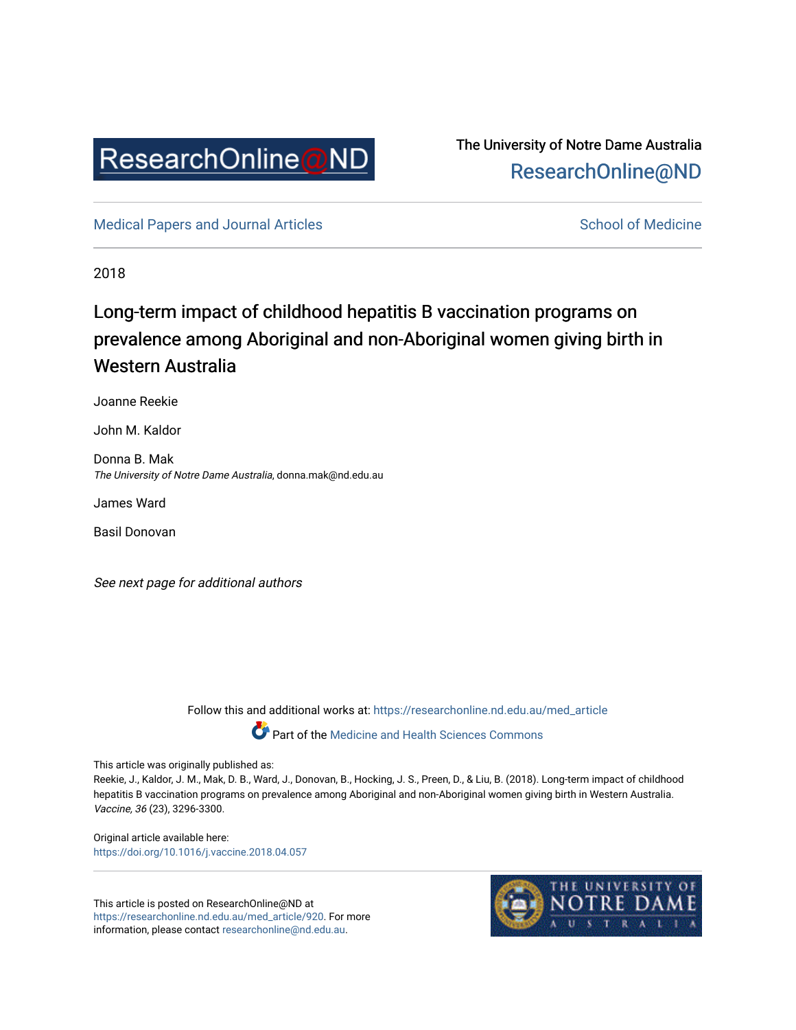

The University of Notre Dame Australia [ResearchOnline@ND](https://researchonline.nd.edu.au/) 

[Medical Papers and Journal Articles](https://researchonline.nd.edu.au/med_article) and School of Medicine

2018

# Long-term impact of childhood hepatitis B vaccination programs on prevalence among Aboriginal and non-Aboriginal women giving birth in Western Australia

Joanne Reekie

John M. Kaldor

Donna B. Mak The University of Notre Dame Australia, donna.mak@nd.edu.au

James Ward

Basil Donovan

See next page for additional authors

Follow this and additional works at: [https://researchonline.nd.edu.au/med\\_article](https://researchonline.nd.edu.au/med_article?utm_source=researchonline.nd.edu.au%2Fmed_article%2F920&utm_medium=PDF&utm_campaign=PDFCoverPages) 

Part of the [Medicine and Health Sciences Commons](http://network.bepress.com/hgg/discipline/648?utm_source=researchonline.nd.edu.au%2Fmed_article%2F920&utm_medium=PDF&utm_campaign=PDFCoverPages)

This article was originally published as:

Reekie, J., Kaldor, J. M., Mak, D. B., Ward, J., Donovan, B., Hocking, J. S., Preen, D., & Liu, B. (2018). Long-term impact of childhood hepatitis B vaccination programs on prevalence among Aboriginal and non-Aboriginal women giving birth in Western Australia. Vaccine, 36 (23), 3296-3300.

Original article available here: <https://doi.org/10.1016/j.vaccine.2018.04.057>

This article is posted on ResearchOnline@ND at [https://researchonline.nd.edu.au/med\\_article/920](https://researchonline.nd.edu.au/med_article/920). For more information, please contact [researchonline@nd.edu.au.](mailto:researchonline@nd.edu.au)

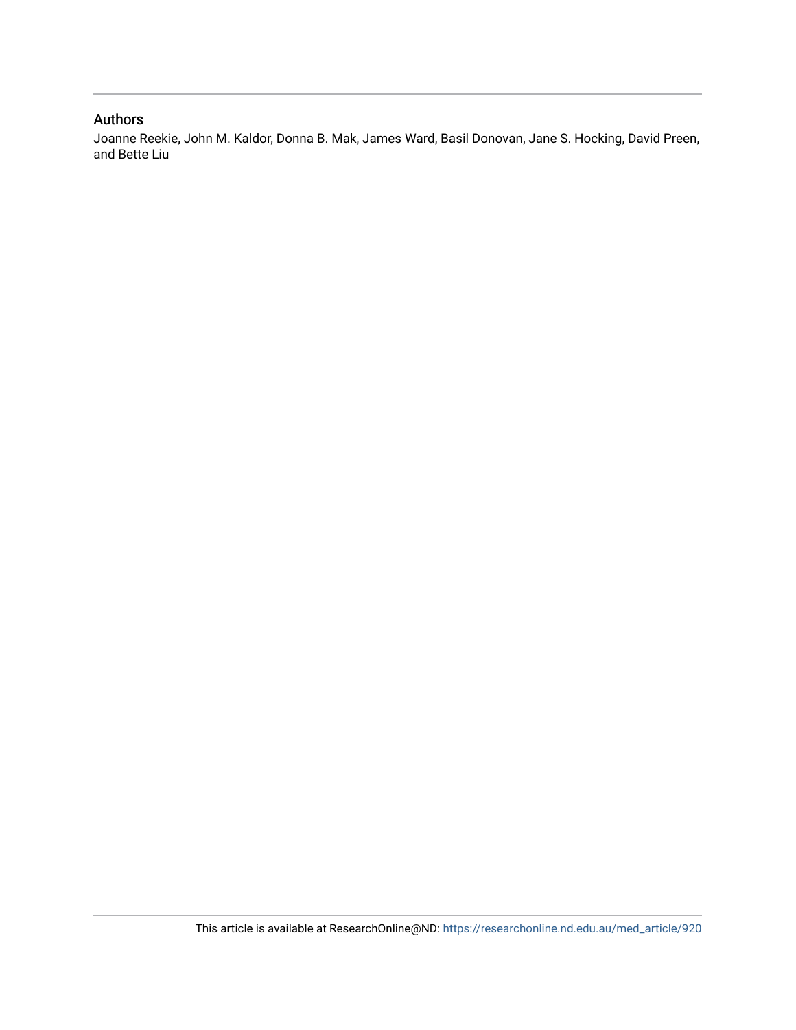## Authors

Joanne Reekie, John M. Kaldor, Donna B. Mak, James Ward, Basil Donovan, Jane S. Hocking, David Preen, and Bette Liu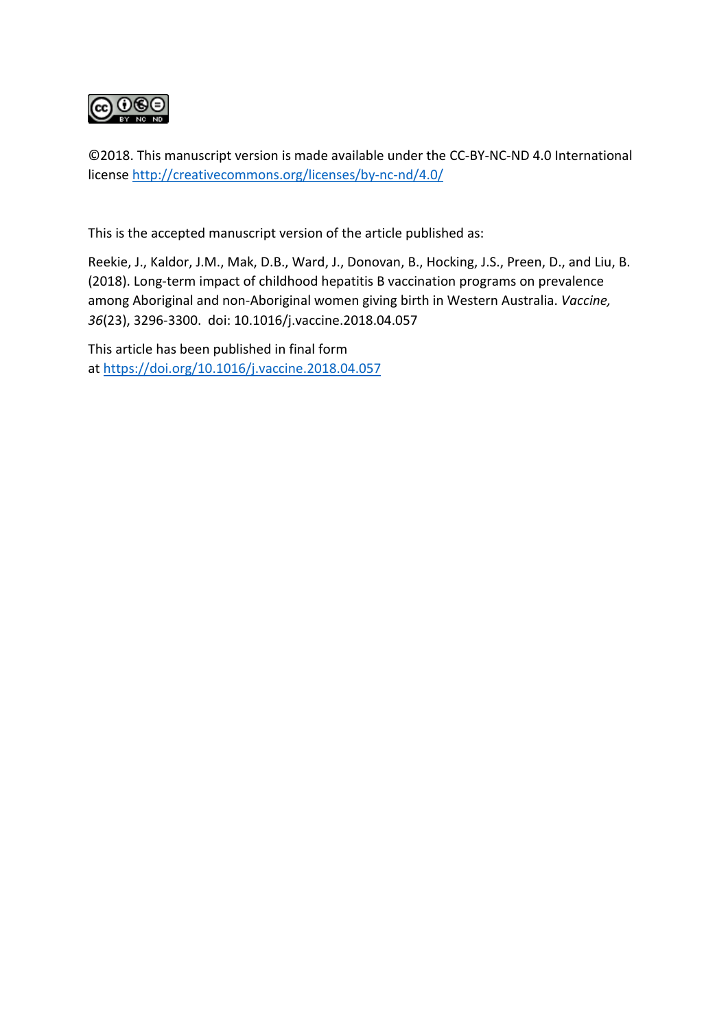

©2018. This manuscript version is made available under the CC-BY-NC-ND 4.0 International license<http://creativecommons.org/licenses/by-nc-nd/4.0/>

This is the accepted manuscript version of the article published as:

Reekie, J., Kaldor, J.M., Mak, D.B., Ward, J., Donovan, B., Hocking, J.S., Preen, D., and Liu, B. (2018). Long-term impact of childhood hepatitis B vaccination programs on prevalence among Aboriginal and non-Aboriginal women giving birth in Western Australia. *Vaccine, 36*(23), 3296-3300.doi: 10.1016/j.vaccine.2018.04.057

This article has been published in final form at <https://doi.org/10.1016/j.vaccine.2018.04.057>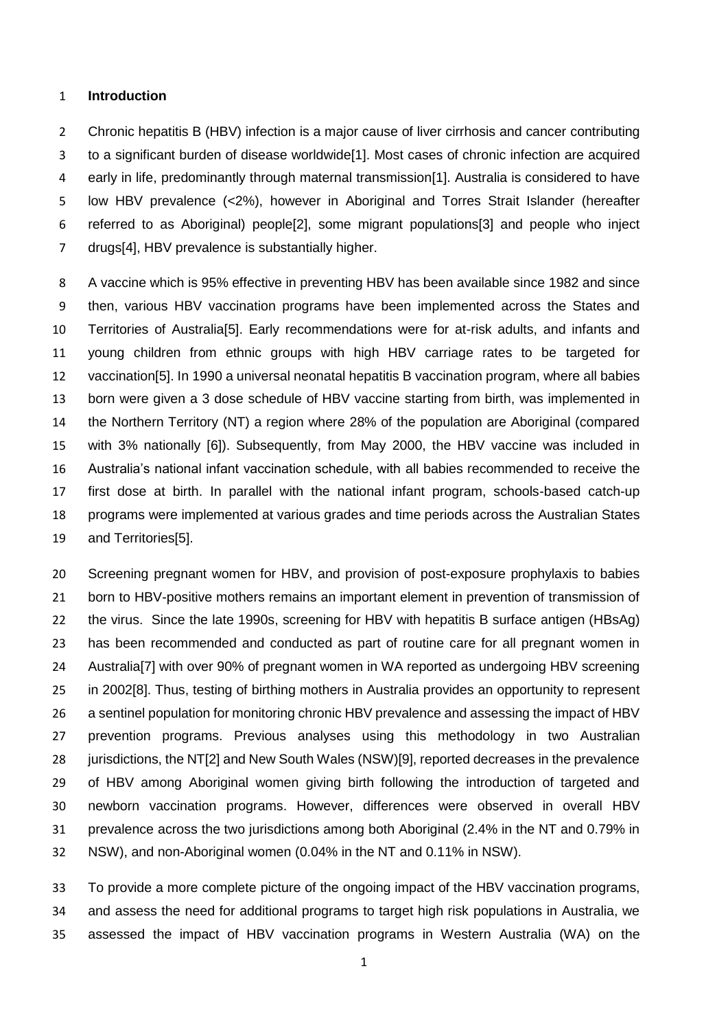#### **Introduction**

 Chronic hepatitis B (HBV) infection is a major cause of liver cirrhosis and cancer contributing to a significant burden of disease worldwide[1]. Most cases of chronic infection are acquired early in life, predominantly through maternal transmission[1]. Australia is considered to have low HBV prevalence (<2%), however in Aboriginal and Torres Strait Islander (hereafter referred to as Aboriginal) people[2], some migrant populations[3] and people who inject drugs[4], HBV prevalence is substantially higher.

 A vaccine which is 95% effective in preventing HBV has been available since 1982 and since then, various HBV vaccination programs have been implemented across the States and Territories of Australia[5]. Early recommendations were for at-risk adults, and infants and young children from ethnic groups with high HBV carriage rates to be targeted for vaccination[5]. In 1990 a universal neonatal hepatitis B vaccination program, where all babies born were given a 3 dose schedule of HBV vaccine starting from birth, was implemented in the Northern Territory (NT) a region where 28% of the population are Aboriginal (compared with 3% nationally [6]). Subsequently, from May 2000, the HBV vaccine was included in Australia's national infant vaccination schedule, with all babies recommended to receive the first dose at birth. In parallel with the national infant program, schools-based catch-up programs were implemented at various grades and time periods across the Australian States and Territories[5].

 Screening pregnant women for HBV, and provision of post-exposure prophylaxis to babies born to HBV-positive mothers remains an important element in prevention of transmission of the virus. Since the late 1990s, screening for HBV with hepatitis B surface antigen (HBsAg) has been recommended and conducted as part of routine care for all pregnant women in Australia[7] with over 90% of pregnant women in WA reported as undergoing HBV screening in 2002[8]. Thus, testing of birthing mothers in Australia provides an opportunity to represent 26 a sentinel population for monitoring chronic HBV prevalence and assessing the impact of HBV prevention programs. Previous analyses using this methodology in two Australian jurisdictions, the NT[2] and New South Wales (NSW)[9], reported decreases in the prevalence of HBV among Aboriginal women giving birth following the introduction of targeted and newborn vaccination programs. However, differences were observed in overall HBV prevalence across the two jurisdictions among both Aboriginal (2.4% in the NT and 0.79% in NSW), and non-Aboriginal women (0.04% in the NT and 0.11% in NSW).

 To provide a more complete picture of the ongoing impact of the HBV vaccination programs, and assess the need for additional programs to target high risk populations in Australia, we assessed the impact of HBV vaccination programs in Western Australia (WA) on the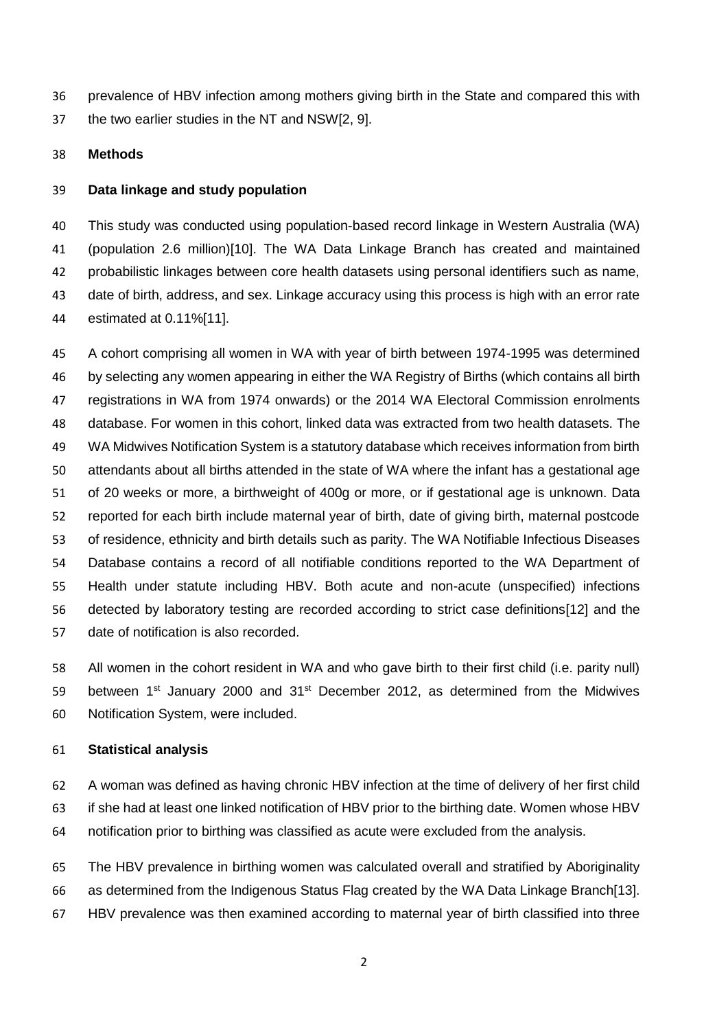prevalence of HBV infection among mothers giving birth in the State and compared this with the two earlier studies in the NT and NSW[2, 9].

## **Methods**

## **Data linkage and study population**

 This study was conducted using population-based record linkage in Western Australia (WA) (population 2.6 million)[10]. The WA Data Linkage Branch has created and maintained probabilistic linkages between core health datasets using personal identifiers such as name, date of birth, address, and sex. Linkage accuracy using this process is high with an error rate estimated at 0.11%[11].

 A cohort comprising all women in WA with year of birth between 1974-1995 was determined by selecting any women appearing in either the WA Registry of Births (which contains all birth registrations in WA from 1974 onwards) or the 2014 WA Electoral Commission enrolments database. For women in this cohort, linked data was extracted from two health datasets. The WA Midwives Notification System is a statutory database which receives information from birth attendants about all births attended in the state of WA where the infant has a gestational age of 20 weeks or more, a birthweight of 400g or more, or if gestational age is unknown. Data reported for each birth include maternal year of birth, date of giving birth, maternal postcode of residence, ethnicity and birth details such as parity. The WA Notifiable Infectious Diseases Database contains a record of all notifiable conditions reported to the WA Department of Health under statute including HBV. Both acute and non-acute (unspecified) infections detected by laboratory testing are recorded according to strict case definitions[12] and the date of notification is also recorded.

 All women in the cohort resident in WA and who gave birth to their first child (i.e. parity null) 59 between  $1<sup>st</sup>$  January 2000 and  $31<sup>st</sup>$  December 2012, as determined from the Midwives Notification System, were included.

## **Statistical analysis**

 A woman was defined as having chronic HBV infection at the time of delivery of her first child if she had at least one linked notification of HBV prior to the birthing date. Women whose HBV notification prior to birthing was classified as acute were excluded from the analysis.

 The HBV prevalence in birthing women was calculated overall and stratified by Aboriginality as determined from the Indigenous Status Flag created by the WA Data Linkage Branch[13]. HBV prevalence was then examined according to maternal year of birth classified into three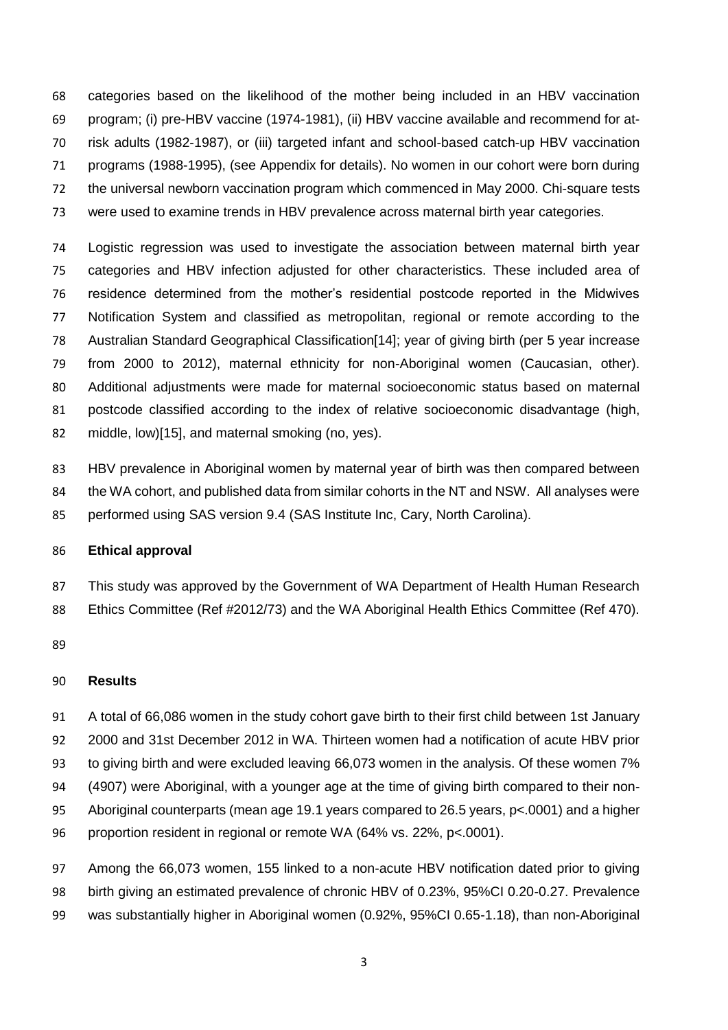categories based on the likelihood of the mother being included in an HBV vaccination program; (i) pre-HBV vaccine (1974-1981), (ii) HBV vaccine available and recommend for at- risk adults (1982-1987), or (iii) targeted infant and school-based catch-up HBV vaccination programs (1988-1995), (see Appendix for details). No women in our cohort were born during the universal newborn vaccination program which commenced in May 2000. Chi-square tests were used to examine trends in HBV prevalence across maternal birth year categories.

 Logistic regression was used to investigate the association between maternal birth year categories and HBV infection adjusted for other characteristics. These included area of residence determined from the mother's residential postcode reported in the Midwives Notification System and classified as metropolitan, regional or remote according to the Australian Standard Geographical Classification[14]; year of giving birth (per 5 year increase from 2000 to 2012), maternal ethnicity for non-Aboriginal women (Caucasian, other). Additional adjustments were made for maternal socioeconomic status based on maternal postcode classified according to the index of relative socioeconomic disadvantage (high, middle, low)[15], and maternal smoking (no, yes).

 HBV prevalence in Aboriginal women by maternal year of birth was then compared between the WA cohort, and published data from similar cohorts in the NT and NSW. All analyses were performed using SAS version 9.4 (SAS Institute Inc, Cary, North Carolina).

#### **Ethical approval**

This study was approved by the Government of WA Department of Health Human Research

Ethics Committee (Ref #2012/73) and the WA Aboriginal Health Ethics Committee (Ref 470).

#### **Results**

 A total of 66,086 women in the study cohort gave birth to their first child between 1st January 2000 and 31st December 2012 in WA. Thirteen women had a notification of acute HBV prior to giving birth and were excluded leaving 66,073 women in the analysis. Of these women 7% (4907) were Aboriginal, with a younger age at the time of giving birth compared to their non- Aboriginal counterparts (mean age 19.1 years compared to 26.5 years, p<.0001) and a higher proportion resident in regional or remote WA (64% vs. 22%, p<.0001).

 Among the 66,073 women, 155 linked to a non-acute HBV notification dated prior to giving birth giving an estimated prevalence of chronic HBV of 0.23%, 95%CI 0.20-0.27. Prevalence was substantially higher in Aboriginal women (0.92%, 95%CI 0.65-1.18), than non-Aboriginal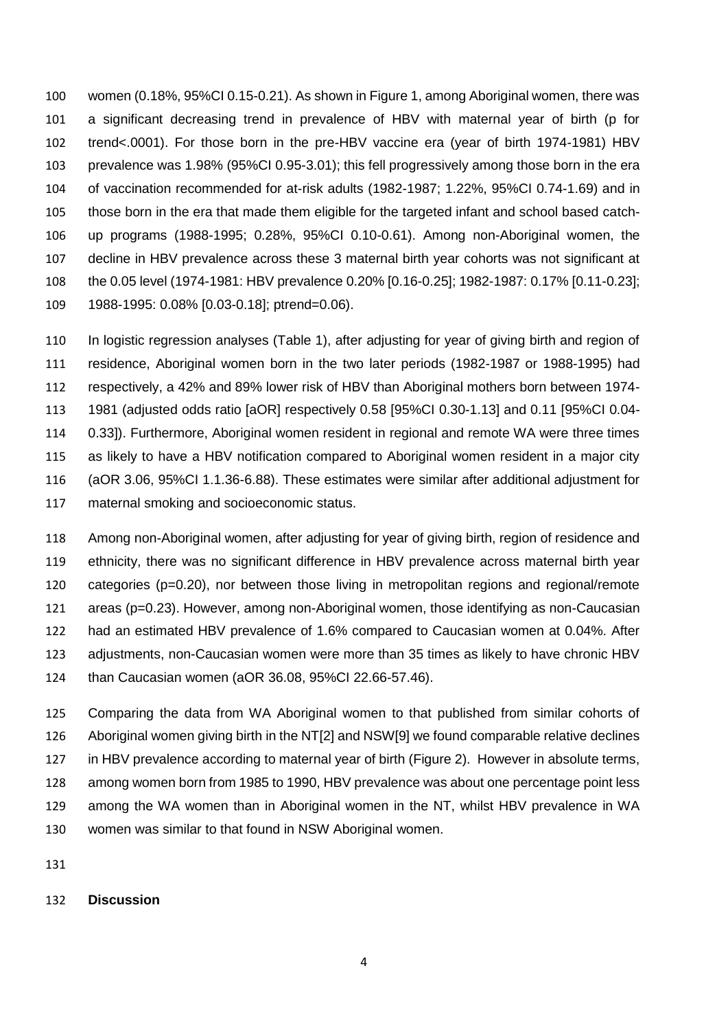women (0.18%, 95%CI 0.15-0.21). As shown in Figure 1, among Aboriginal women, there was a significant decreasing trend in prevalence of HBV with maternal year of birth (p for trend<.0001). For those born in the pre-HBV vaccine era (year of birth 1974-1981) HBV prevalence was 1.98% (95%CI 0.95-3.01); this fell progressively among those born in the era of vaccination recommended for at-risk adults (1982-1987; 1.22%, 95%CI 0.74-1.69) and in those born in the era that made them eligible for the targeted infant and school based catch- up programs (1988-1995; 0.28%, 95%CI 0.10-0.61). Among non-Aboriginal women, the decline in HBV prevalence across these 3 maternal birth year cohorts was not significant at the 0.05 level (1974-1981: HBV prevalence 0.20% [0.16-0.25]; 1982-1987: 0.17% [0.11-0.23]; 1988-1995: 0.08% [0.03-0.18]; ptrend=0.06).

 In logistic regression analyses (Table 1), after adjusting for year of giving birth and region of residence, Aboriginal women born in the two later periods (1982-1987 or 1988-1995) had respectively, a 42% and 89% lower risk of HBV than Aboriginal mothers born between 1974- 1981 (adjusted odds ratio [aOR] respectively 0.58 [95%CI 0.30-1.13] and 0.11 [95%CI 0.04- 0.33]). Furthermore, Aboriginal women resident in regional and remote WA were three times as likely to have a HBV notification compared to Aboriginal women resident in a major city (aOR 3.06, 95%CI 1.1.36-6.88). These estimates were similar after additional adjustment for maternal smoking and socioeconomic status.

 Among non-Aboriginal women, after adjusting for year of giving birth, region of residence and ethnicity, there was no significant difference in HBV prevalence across maternal birth year categories (p=0.20), nor between those living in metropolitan regions and regional/remote areas (p=0.23). However, among non-Aboriginal women, those identifying as non-Caucasian had an estimated HBV prevalence of 1.6% compared to Caucasian women at 0.04%. After adjustments, non-Caucasian women were more than 35 times as likely to have chronic HBV than Caucasian women (aOR 36.08, 95%CI 22.66-57.46).

 Comparing the data from WA Aboriginal women to that published from similar cohorts of Aboriginal women giving birth in the NT[2] and NSW[9] we found comparable relative declines in HBV prevalence according to maternal year of birth (Figure 2). However in absolute terms, among women born from 1985 to 1990, HBV prevalence was about one percentage point less among the WA women than in Aboriginal women in the NT, whilst HBV prevalence in WA women was similar to that found in NSW Aboriginal women.

### **Discussion**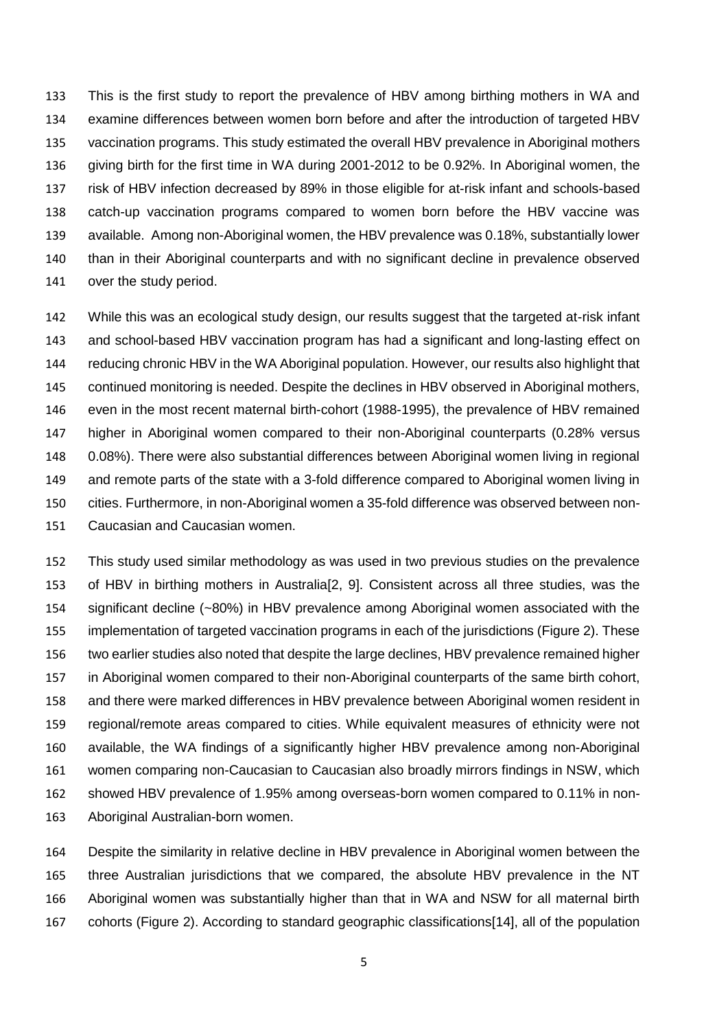This is the first study to report the prevalence of HBV among birthing mothers in WA and examine differences between women born before and after the introduction of targeted HBV vaccination programs. This study estimated the overall HBV prevalence in Aboriginal mothers giving birth for the first time in WA during 2001-2012 to be 0.92%. In Aboriginal women, the risk of HBV infection decreased by 89% in those eligible for at-risk infant and schools-based catch-up vaccination programs compared to women born before the HBV vaccine was available. Among non-Aboriginal women, the HBV prevalence was 0.18%, substantially lower than in their Aboriginal counterparts and with no significant decline in prevalence observed over the study period.

 While this was an ecological study design, our results suggest that the targeted at-risk infant and school-based HBV vaccination program has had a significant and long-lasting effect on reducing chronic HBV in the WA Aboriginal population. However, our results also highlight that continued monitoring is needed. Despite the declines in HBV observed in Aboriginal mothers, even in the most recent maternal birth-cohort (1988-1995), the prevalence of HBV remained higher in Aboriginal women compared to their non-Aboriginal counterparts (0.28% versus 0.08%). There were also substantial differences between Aboriginal women living in regional and remote parts of the state with a 3-fold difference compared to Aboriginal women living in cities. Furthermore, in non-Aboriginal women a 35-fold difference was observed between non-Caucasian and Caucasian women.

 This study used similar methodology as was used in two previous studies on the prevalence of HBV in birthing mothers in Australia[2, 9]. Consistent across all three studies, was the significant decline (~80%) in HBV prevalence among Aboriginal women associated with the implementation of targeted vaccination programs in each of the jurisdictions (Figure 2). These two earlier studies also noted that despite the large declines, HBV prevalence remained higher in Aboriginal women compared to their non-Aboriginal counterparts of the same birth cohort, and there were marked differences in HBV prevalence between Aboriginal women resident in regional/remote areas compared to cities. While equivalent measures of ethnicity were not available, the WA findings of a significantly higher HBV prevalence among non-Aboriginal women comparing non-Caucasian to Caucasian also broadly mirrors findings in NSW, which showed HBV prevalence of 1.95% among overseas-born women compared to 0.11% in non-Aboriginal Australian-born women.

 Despite the similarity in relative decline in HBV prevalence in Aboriginal women between the three Australian jurisdictions that we compared, the absolute HBV prevalence in the NT Aboriginal women was substantially higher than that in WA and NSW for all maternal birth cohorts (Figure 2). According to standard geographic classifications[14], all of the population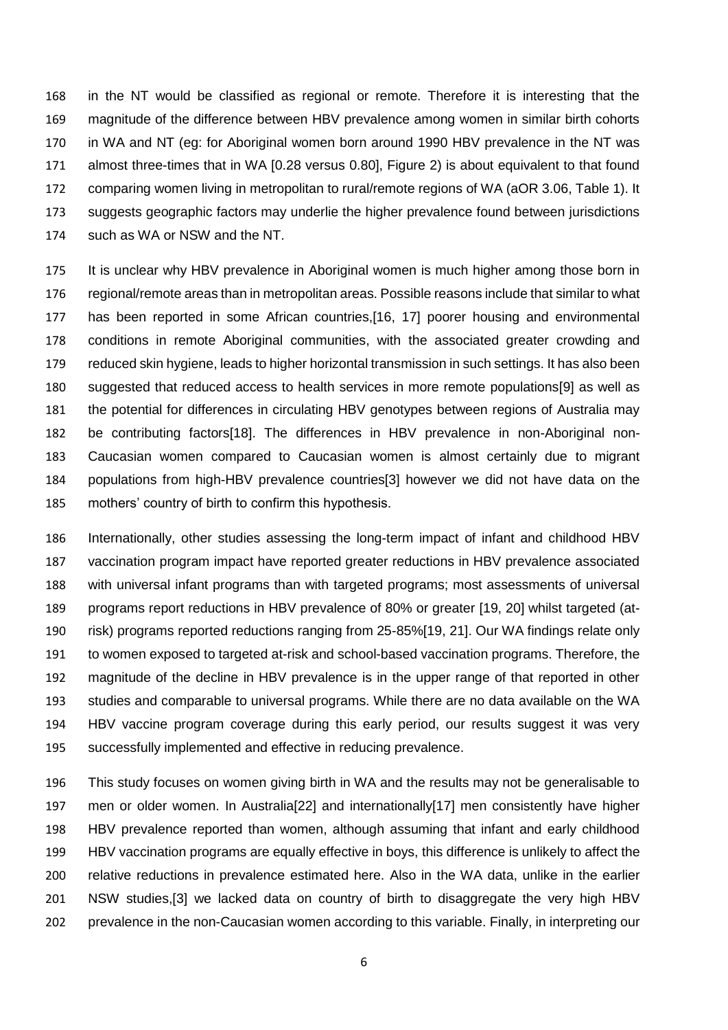in the NT would be classified as regional or remote. Therefore it is interesting that the magnitude of the difference between HBV prevalence among women in similar birth cohorts in WA and NT (eg: for Aboriginal women born around 1990 HBV prevalence in the NT was almost three-times that in WA [0.28 versus 0.80], Figure 2) is about equivalent to that found comparing women living in metropolitan to rural/remote regions of WA (aOR 3.06, Table 1). It suggests geographic factors may underlie the higher prevalence found between jurisdictions such as WA or NSW and the NT.

 It is unclear why HBV prevalence in Aboriginal women is much higher among those born in regional/remote areas than in metropolitan areas. Possible reasons include that similar to what has been reported in some African countries,[16, 17] poorer housing and environmental conditions in remote Aboriginal communities, with the associated greater crowding and reduced skin hygiene, leads to higher horizontal transmission in such settings. It has also been suggested that reduced access to health services in more remote populations[9] as well as the potential for differences in circulating HBV genotypes between regions of Australia may be contributing factors[18]. The differences in HBV prevalence in non-Aboriginal non- Caucasian women compared to Caucasian women is almost certainly due to migrant populations from high-HBV prevalence countries[3] however we did not have data on the mothers' country of birth to confirm this hypothesis.

 Internationally, other studies assessing the long-term impact of infant and childhood HBV vaccination program impact have reported greater reductions in HBV prevalence associated with universal infant programs than with targeted programs; most assessments of universal programs report reductions in HBV prevalence of 80% or greater [19, 20] whilst targeted (at- risk) programs reported reductions ranging from 25-85%[19, 21]. Our WA findings relate only to women exposed to targeted at-risk and school-based vaccination programs. Therefore, the magnitude of the decline in HBV prevalence is in the upper range of that reported in other studies and comparable to universal programs. While there are no data available on the WA HBV vaccine program coverage during this early period, our results suggest it was very successfully implemented and effective in reducing prevalence.

 This study focuses on women giving birth in WA and the results may not be generalisable to men or older women. In Australia[22] and internationally[17] men consistently have higher HBV prevalence reported than women, although assuming that infant and early childhood HBV vaccination programs are equally effective in boys, this difference is unlikely to affect the relative reductions in prevalence estimated here. Also in the WA data, unlike in the earlier NSW studies,[3] we lacked data on country of birth to disaggregate the very high HBV prevalence in the non-Caucasian women according to this variable. Finally, in interpreting our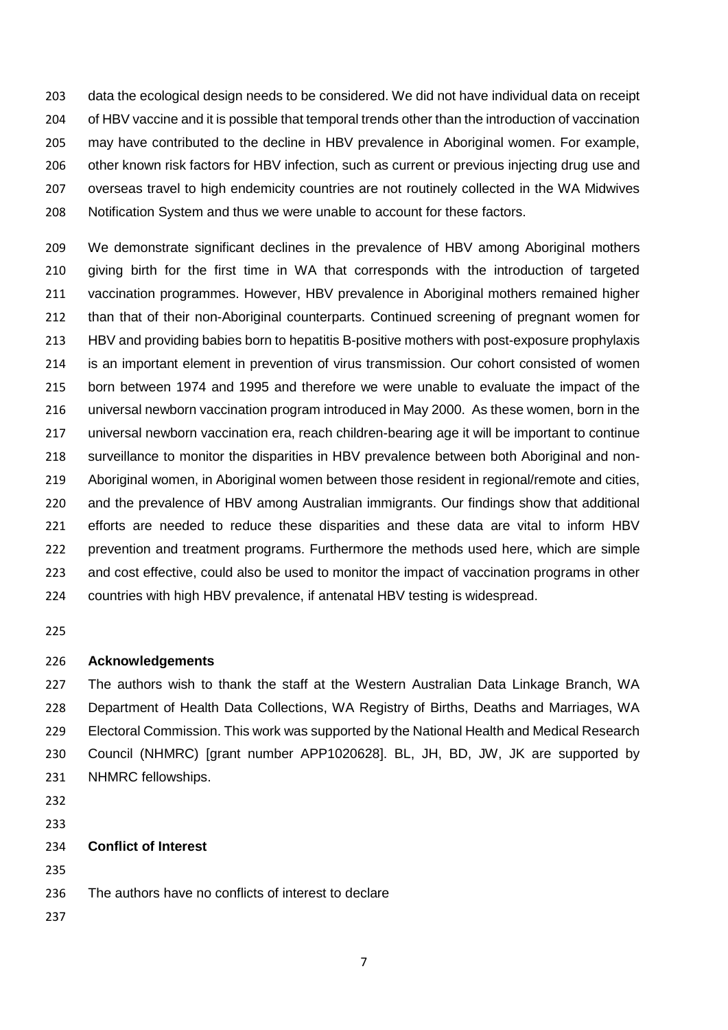data the ecological design needs to be considered. We did not have individual data on receipt of HBV vaccine and it is possible that temporal trends other than the introduction of vaccination may have contributed to the decline in HBV prevalence in Aboriginal women. For example, other known risk factors for HBV infection, such as current or previous injecting drug use and overseas travel to high endemicity countries are not routinely collected in the WA Midwives Notification System and thus we were unable to account for these factors.

 We demonstrate significant declines in the prevalence of HBV among Aboriginal mothers giving birth for the first time in WA that corresponds with the introduction of targeted vaccination programmes. However, HBV prevalence in Aboriginal mothers remained higher than that of their non-Aboriginal counterparts. Continued screening of pregnant women for HBV and providing babies born to hepatitis B-positive mothers with post-exposure prophylaxis is an important element in prevention of virus transmission. Our cohort consisted of women born between 1974 and 1995 and therefore we were unable to evaluate the impact of the universal newborn vaccination program introduced in May 2000. As these women, born in the universal newborn vaccination era, reach children-bearing age it will be important to continue surveillance to monitor the disparities in HBV prevalence between both Aboriginal and non- Aboriginal women, in Aboriginal women between those resident in regional/remote and cities, and the prevalence of HBV among Australian immigrants. Our findings show that additional efforts are needed to reduce these disparities and these data are vital to inform HBV prevention and treatment programs. Furthermore the methods used here, which are simple and cost effective, could also be used to monitor the impact of vaccination programs in other countries with high HBV prevalence, if antenatal HBV testing is widespread.

## **Acknowledgements**

 The authors wish to thank the staff at the Western Australian Data Linkage Branch, WA Department of Health Data Collections, WA Registry of Births, Deaths and Marriages, WA Electoral Commission. This work was supported by the National Health and Medical Research Council (NHMRC) [grant number APP1020628]. BL, JH, BD, JW, JK are supported by NHMRC fellowships.

## **Conflict of Interest**

The authors have no conflicts of interest to declare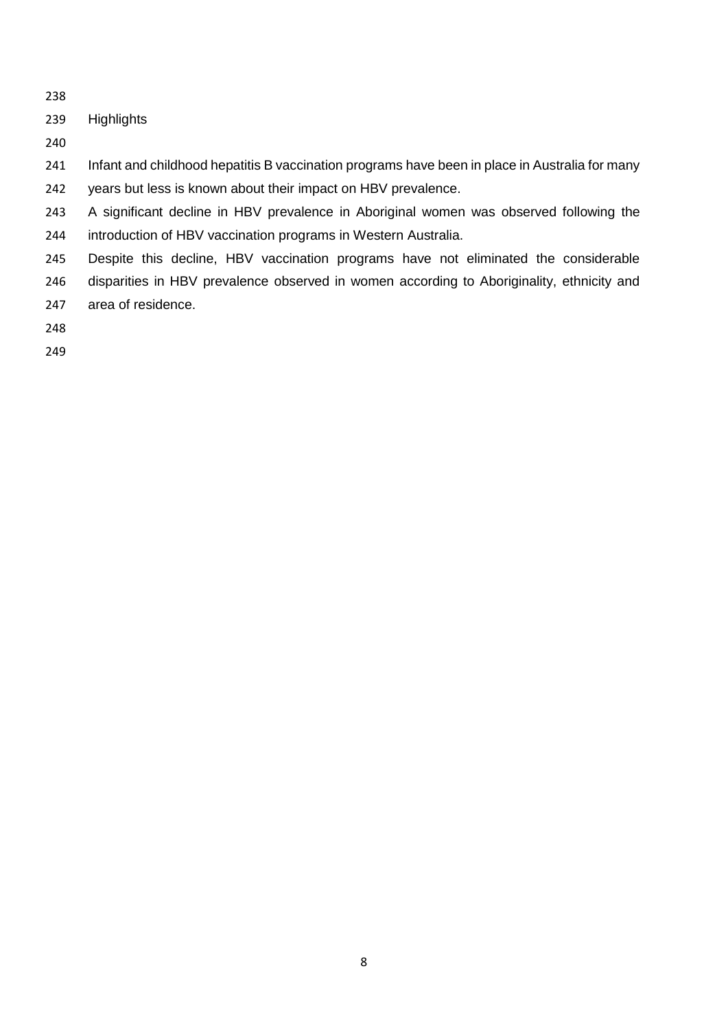## Highlights

241 Infant and childhood hepatitis B vaccination programs have been in place in Australia for many years but less is known about their impact on HBV prevalence.

 A significant decline in HBV prevalence in Aboriginal women was observed following the introduction of HBV vaccination programs in Western Australia.

 Despite this decline, HBV vaccination programs have not eliminated the considerable disparities in HBV prevalence observed in women according to Aboriginality, ethnicity and area of residence.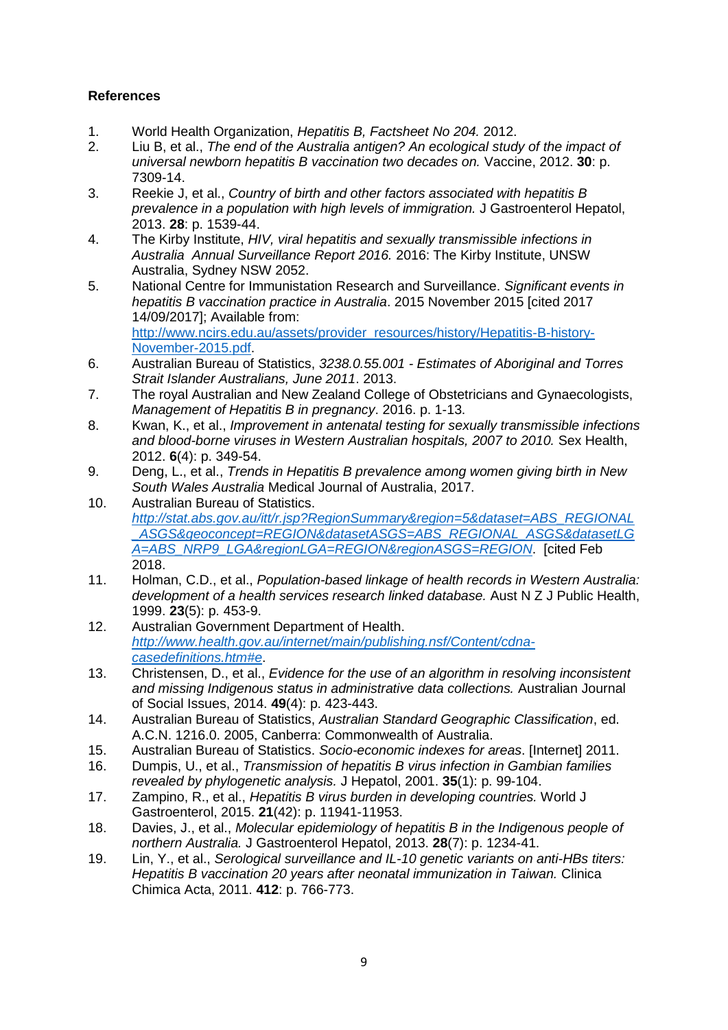## **References**

- 1. World Health Organization, *Hepatitis B, Factsheet No 204.* 2012.
- 2. Liu B, et al., *The end of the Australia antigen? An ecological study of the impact of universal newborn hepatitis B vaccination two decades on.* Vaccine, 2012. **30**: p. 7309-14.
- 3. Reekie J, et al., *Country of birth and other factors associated with hepatitis B prevalence in a population with high levels of immigration.* J Gastroenterol Hepatol, 2013. **28**: p. 1539-44.
- 4. The Kirby Institute, *HIV, viral hepatitis and sexually transmissible infections in Australia Annual Surveillance Report 2016.* 2016: The Kirby Institute, UNSW Australia, Sydney NSW 2052.
- 5. National Centre for Immunistation Research and Surveillance. *Significant events in hepatitis B vaccination practice in Australia*. 2015 November 2015 [cited 2017 14/09/2017]; Available from: [http://www.ncirs.edu.au/assets/provider\\_resources/history/Hepatitis-B-history-](http://www.ncirs.edu.au/assets/provider_resources/history/Hepatitis-B-history-November-2015.pdf)[November-2015.pdf.](http://www.ncirs.edu.au/assets/provider_resources/history/Hepatitis-B-history-November-2015.pdf)
- 6. Australian Bureau of Statistics, *3238.0.55.001 - Estimates of Aboriginal and Torres Strait Islander Australians, June 2011*. 2013.
- 7. The royal Australian and New Zealand College of Obstetricians and Gynaecologists, *Management of Hepatitis B in pregnancy*. 2016. p. 1-13.
- 8. Kwan, K., et al., *Improvement in antenatal testing for sexually transmissible infections and blood-borne viruses in Western Australian hospitals, 2007 to 2010.* Sex Health, 2012. **6**(4): p. 349-54.
- 9. Deng, L., et al., *Trends in Hepatitis B prevalence among women giving birth in New South Wales Australia* Medical Journal of Australia, 2017.
- 10. Australian Bureau of Statistics. *[http://stat.abs.gov.au/itt/r.jsp?RegionSummary&region=5&dataset=ABS\\_REGIONAL](http://stat.abs.gov.au/itt/r.jsp?RegionSummary®ion=5&dataset=ABS_REGIONAL_ASGS&geoconcept=REGION&datasetASGS=ABS_REGIONAL_ASGS&datasetLGA=ABS_NRP9_LGA®ionLGA=REGION®ionASGS=REGION) [\\_ASGS&geoconcept=REGION&datasetASGS=ABS\\_REGIONAL\\_ASGS&datasetLG](http://stat.abs.gov.au/itt/r.jsp?RegionSummary®ion=5&dataset=ABS_REGIONAL_ASGS&geoconcept=REGION&datasetASGS=ABS_REGIONAL_ASGS&datasetLGA=ABS_NRP9_LGA®ionLGA=REGION®ionASGS=REGION) [A=ABS\\_NRP9\\_LGA&regionLGA=REGION&regionASGS=REGION](http://stat.abs.gov.au/itt/r.jsp?RegionSummary®ion=5&dataset=ABS_REGIONAL_ASGS&geoconcept=REGION&datasetASGS=ABS_REGIONAL_ASGS&datasetLGA=ABS_NRP9_LGA®ionLGA=REGION®ionASGS=REGION)*. [cited Feb 2018.
- 11. Holman, C.D., et al., *Population-based linkage of health records in Western Australia: development of a health services research linked database.* Aust N Z J Public Health, 1999. **23**(5): p. 453-9.
- 12. Australian Government Department of Health. *[http://www.health.gov.au/internet/main/publishing.nsf/Content/cdna](http://www.health.gov.au/internet/main/publishing.nsf/Content/cdna-casedefinitions.htm#e)[casedefinitions.htm#e](http://www.health.gov.au/internet/main/publishing.nsf/Content/cdna-casedefinitions.htm#e)*.
- 13. Christensen, D., et al., *Evidence for the use of an algorithm in resolving inconsistent and missing Indigenous status in administrative data collections.* Australian Journal of Social Issues, 2014. **49**(4): p. 423-443.
- 14. Australian Bureau of Statistics, *Australian Standard Geographic Classification*, ed. A.C.N. 1216.0. 2005, Canberra: Commonwealth of Australia.
- 15. Australian Bureau of Statistics. *Socio-economic indexes for areas*. [Internet] 2011.
- 16. Dumpis, U., et al., *Transmission of hepatitis B virus infection in Gambian families revealed by phylogenetic analysis.* J Hepatol, 2001. **35**(1): p. 99-104.
- 17. Zampino, R., et al., *Hepatitis B virus burden in developing countries.* World J Gastroenterol, 2015. **21**(42): p. 11941-11953.
- 18. Davies, J., et al., *Molecular epidemiology of hepatitis B in the Indigenous people of northern Australia.* J Gastroenterol Hepatol, 2013. **28**(7): p. 1234-41.
- 19. Lin, Y., et al., *Serological surveillance and IL-10 genetic variants on anti-HBs titers: Hepatitis B vaccination 20 years after neonatal immunization in Taiwan.* Clinica Chimica Acta, 2011. **412**: p. 766-773.